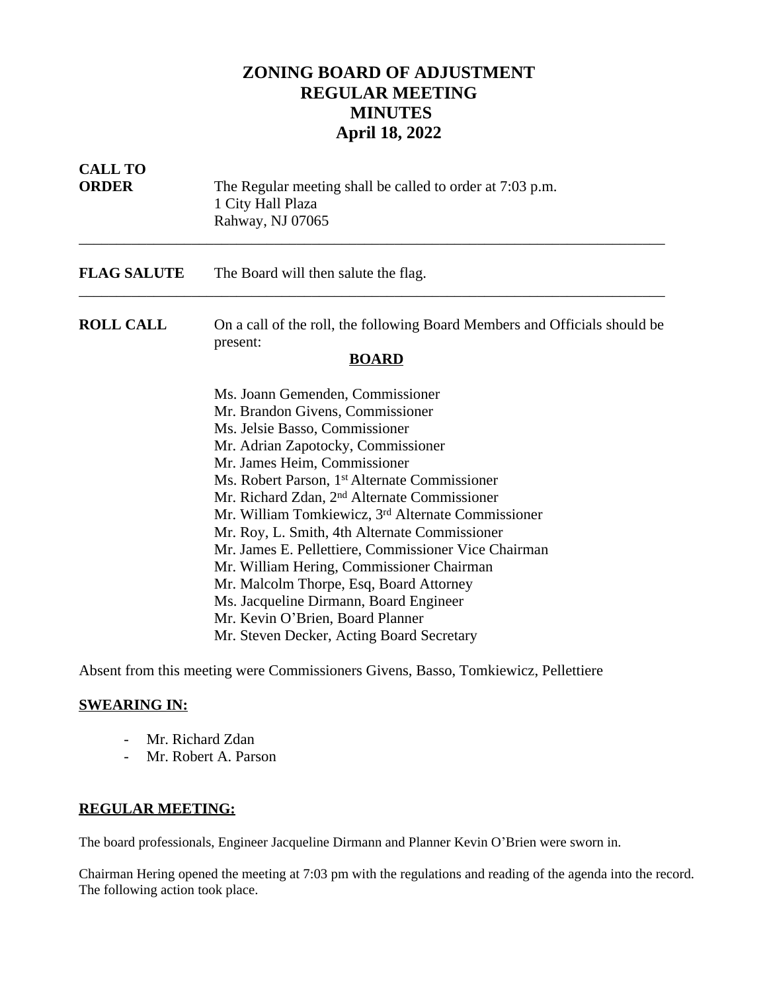## **ZONING BOARD OF ADJUSTMENT REGULAR MEETING MINUTES April 18, 2022**

| <b>CALL TO</b><br><b>ORDER</b> | The Regular meeting shall be called to order at 7:03 p.m.<br>1 City Hall Plaza<br>Rahway, NJ 07065                                                                                                                                                                                                                                                                                                                                                                                                                                                                                                                                                                                                  |
|--------------------------------|-----------------------------------------------------------------------------------------------------------------------------------------------------------------------------------------------------------------------------------------------------------------------------------------------------------------------------------------------------------------------------------------------------------------------------------------------------------------------------------------------------------------------------------------------------------------------------------------------------------------------------------------------------------------------------------------------------|
| <b>FLAG SALUTE</b>             | The Board will then salute the flag.                                                                                                                                                                                                                                                                                                                                                                                                                                                                                                                                                                                                                                                                |
| <b>ROLL CALL</b>               | On a call of the roll, the following Board Members and Officials should be<br>present:<br><b>BOARD</b>                                                                                                                                                                                                                                                                                                                                                                                                                                                                                                                                                                                              |
|                                | Ms. Joann Gemenden, Commissioner<br>Mr. Brandon Givens, Commissioner<br>Ms. Jelsie Basso, Commissioner<br>Mr. Adrian Zapotocky, Commissioner<br>Mr. James Heim, Commissioner<br>Ms. Robert Parson, 1 <sup>st</sup> Alternate Commissioner<br>Mr. Richard Zdan, 2 <sup>nd</sup> Alternate Commissioner<br>Mr. William Tomkiewicz, 3 <sup>rd</sup> Alternate Commissioner<br>Mr. Roy, L. Smith, 4th Alternate Commissioner<br>Mr. James E. Pellettiere, Commissioner Vice Chairman<br>Mr. William Hering, Commissioner Chairman<br>Mr. Malcolm Thorpe, Esq, Board Attorney<br>Ms. Jacqueline Dirmann, Board Engineer<br>Mr. Kevin O'Brien, Board Planner<br>Mr. Steven Decker, Acting Board Secretary |

Absent from this meeting were Commissioners Givens, Basso, Tomkiewicz, Pellettiere

## **SWEARING IN:**

- Mr. Richard Zdan
- Mr. Robert A. Parson

## **REGULAR MEETING:**

The board professionals, Engineer Jacqueline Dirmann and Planner Kevin O'Brien were sworn in.

Chairman Hering opened the meeting at 7:03 pm with the regulations and reading of the agenda into the record. The following action took place.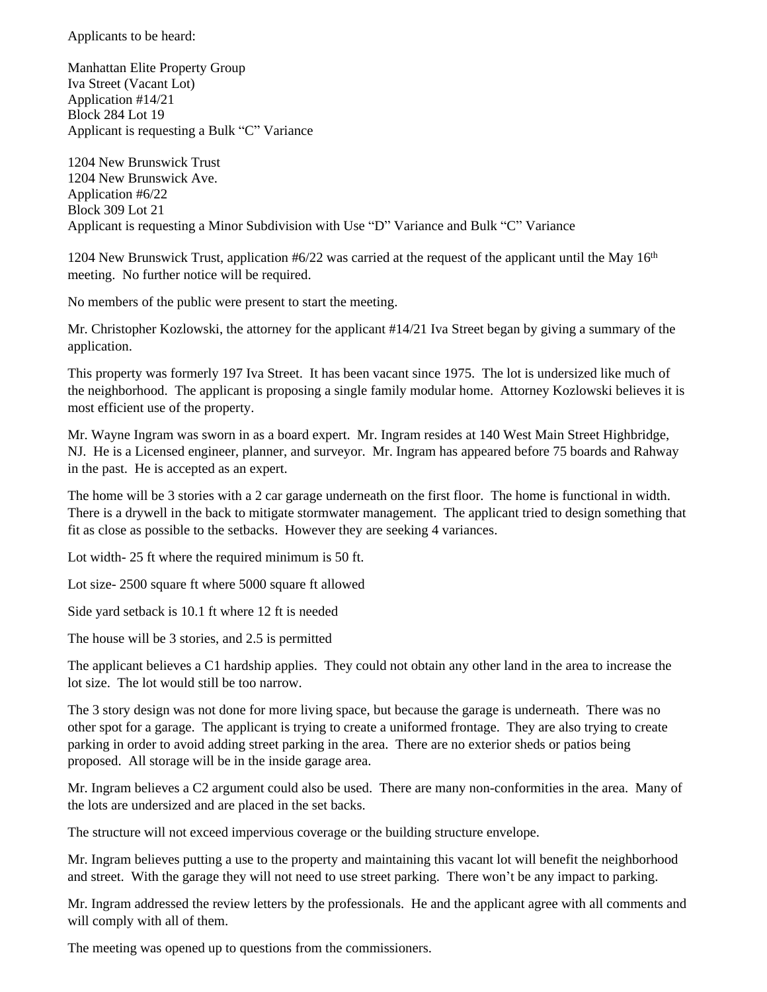Applicants to be heard:

Manhattan Elite Property Group Iva Street (Vacant Lot) Application #14/21 Block 284 Lot 19 Applicant is requesting a Bulk "C" Variance

1204 New Brunswick Trust 1204 New Brunswick Ave. Application #6/22 Block 309 Lot 21 Applicant is requesting a Minor Subdivision with Use "D" Variance and Bulk "C" Variance

1204 New Brunswick Trust, application  $#6/22$  was carried at the request of the applicant until the May 16<sup>th</sup> meeting. No further notice will be required.

No members of the public were present to start the meeting.

Mr. Christopher Kozlowski, the attorney for the applicant #14/21 Iva Street began by giving a summary of the application.

This property was formerly 197 Iva Street. It has been vacant since 1975. The lot is undersized like much of the neighborhood. The applicant is proposing a single family modular home. Attorney Kozlowski believes it is most efficient use of the property.

Mr. Wayne Ingram was sworn in as a board expert. Mr. Ingram resides at 140 West Main Street Highbridge, NJ. He is a Licensed engineer, planner, and surveyor. Mr. Ingram has appeared before 75 boards and Rahway in the past. He is accepted as an expert.

The home will be 3 stories with a 2 car garage underneath on the first floor. The home is functional in width. There is a drywell in the back to mitigate stormwater management. The applicant tried to design something that fit as close as possible to the setbacks. However they are seeking 4 variances.

Lot width- 25 ft where the required minimum is 50 ft.

Lot size- 2500 square ft where 5000 square ft allowed

Side yard setback is 10.1 ft where 12 ft is needed

The house will be 3 stories, and 2.5 is permitted

The applicant believes a C1 hardship applies. They could not obtain any other land in the area to increase the lot size. The lot would still be too narrow.

The 3 story design was not done for more living space, but because the garage is underneath. There was no other spot for a garage. The applicant is trying to create a uniformed frontage. They are also trying to create parking in order to avoid adding street parking in the area. There are no exterior sheds or patios being proposed. All storage will be in the inside garage area.

Mr. Ingram believes a C2 argument could also be used. There are many non-conformities in the area. Many of the lots are undersized and are placed in the set backs.

The structure will not exceed impervious coverage or the building structure envelope.

Mr. Ingram believes putting a use to the property and maintaining this vacant lot will benefit the neighborhood and street. With the garage they will not need to use street parking. There won't be any impact to parking.

Mr. Ingram addressed the review letters by the professionals. He and the applicant agree with all comments and will comply with all of them.

The meeting was opened up to questions from the commissioners.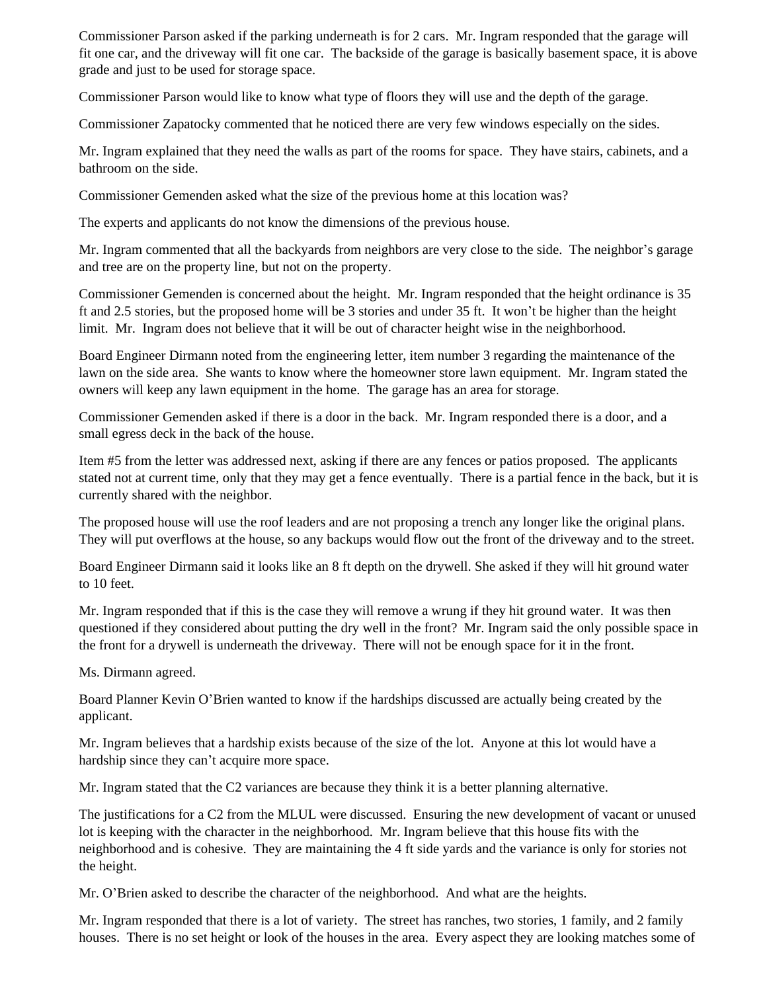Commissioner Parson asked if the parking underneath is for 2 cars. Mr. Ingram responded that the garage will fit one car, and the driveway will fit one car. The backside of the garage is basically basement space, it is above grade and just to be used for storage space.

Commissioner Parson would like to know what type of floors they will use and the depth of the garage.

Commissioner Zapatocky commented that he noticed there are very few windows especially on the sides.

Mr. Ingram explained that they need the walls as part of the rooms for space. They have stairs, cabinets, and a bathroom on the side.

Commissioner Gemenden asked what the size of the previous home at this location was?

The experts and applicants do not know the dimensions of the previous house.

Mr. Ingram commented that all the backyards from neighbors are very close to the side. The neighbor's garage and tree are on the property line, but not on the property.

Commissioner Gemenden is concerned about the height. Mr. Ingram responded that the height ordinance is 35 ft and 2.5 stories, but the proposed home will be 3 stories and under 35 ft. It won't be higher than the height limit. Mr. Ingram does not believe that it will be out of character height wise in the neighborhood.

Board Engineer Dirmann noted from the engineering letter, item number 3 regarding the maintenance of the lawn on the side area. She wants to know where the homeowner store lawn equipment. Mr. Ingram stated the owners will keep any lawn equipment in the home. The garage has an area for storage.

Commissioner Gemenden asked if there is a door in the back. Mr. Ingram responded there is a door, and a small egress deck in the back of the house.

Item #5 from the letter was addressed next, asking if there are any fences or patios proposed. The applicants stated not at current time, only that they may get a fence eventually. There is a partial fence in the back, but it is currently shared with the neighbor.

The proposed house will use the roof leaders and are not proposing a trench any longer like the original plans. They will put overflows at the house, so any backups would flow out the front of the driveway and to the street.

Board Engineer Dirmann said it looks like an 8 ft depth on the drywell. She asked if they will hit ground water to 10 feet.

Mr. Ingram responded that if this is the case they will remove a wrung if they hit ground water. It was then questioned if they considered about putting the dry well in the front? Mr. Ingram said the only possible space in the front for a drywell is underneath the driveway. There will not be enough space for it in the front.

Ms. Dirmann agreed.

Board Planner Kevin O'Brien wanted to know if the hardships discussed are actually being created by the applicant.

Mr. Ingram believes that a hardship exists because of the size of the lot. Anyone at this lot would have a hardship since they can't acquire more space.

Mr. Ingram stated that the C2 variances are because they think it is a better planning alternative.

The justifications for a C2 from the MLUL were discussed. Ensuring the new development of vacant or unused lot is keeping with the character in the neighborhood. Mr. Ingram believe that this house fits with the neighborhood and is cohesive. They are maintaining the 4 ft side yards and the variance is only for stories not the height.

Mr. O'Brien asked to describe the character of the neighborhood. And what are the heights.

Mr. Ingram responded that there is a lot of variety. The street has ranches, two stories, 1 family, and 2 family houses. There is no set height or look of the houses in the area. Every aspect they are looking matches some of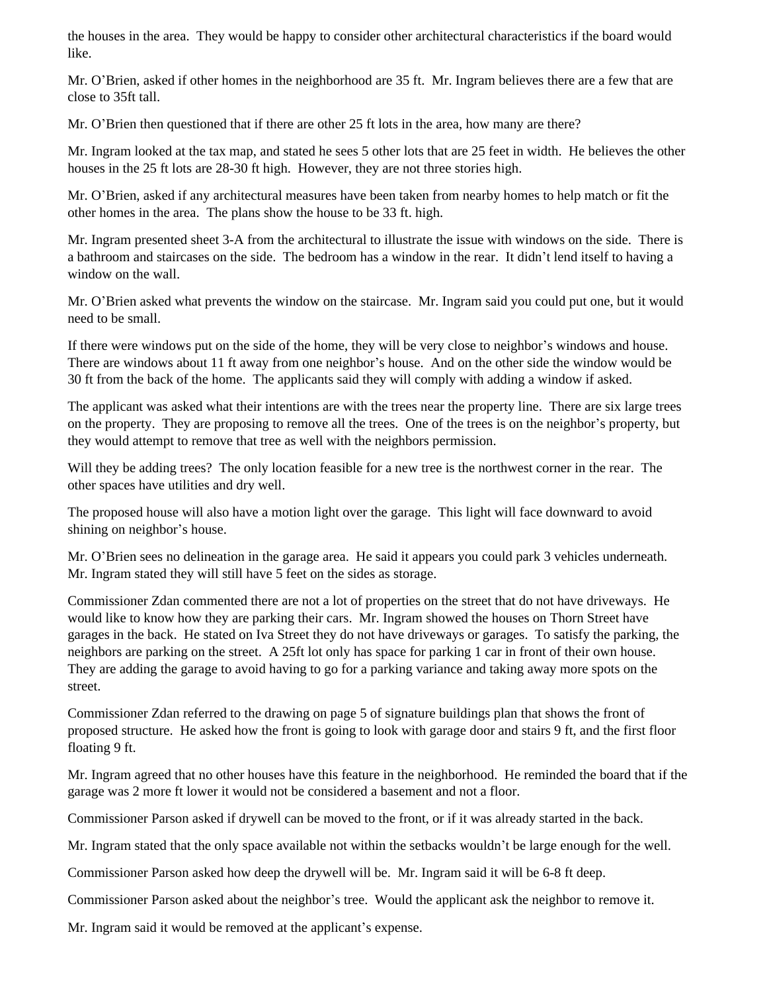the houses in the area. They would be happy to consider other architectural characteristics if the board would like.

Mr. O'Brien, asked if other homes in the neighborhood are 35 ft. Mr. Ingram believes there are a few that are close to 35ft tall.

Mr. O'Brien then questioned that if there are other 25 ft lots in the area, how many are there?

Mr. Ingram looked at the tax map, and stated he sees 5 other lots that are 25 feet in width. He believes the other houses in the 25 ft lots are 28-30 ft high. However, they are not three stories high.

Mr. O'Brien, asked if any architectural measures have been taken from nearby homes to help match or fit the other homes in the area. The plans show the house to be 33 ft. high.

Mr. Ingram presented sheet 3-A from the architectural to illustrate the issue with windows on the side. There is a bathroom and staircases on the side. The bedroom has a window in the rear. It didn't lend itself to having a window on the wall.

Mr. O'Brien asked what prevents the window on the staircase. Mr. Ingram said you could put one, but it would need to be small.

If there were windows put on the side of the home, they will be very close to neighbor's windows and house. There are windows about 11 ft away from one neighbor's house. And on the other side the window would be 30 ft from the back of the home. The applicants said they will comply with adding a window if asked.

The applicant was asked what their intentions are with the trees near the property line. There are six large trees on the property. They are proposing to remove all the trees. One of the trees is on the neighbor's property, but they would attempt to remove that tree as well with the neighbors permission.

Will they be adding trees? The only location feasible for a new tree is the northwest corner in the rear. The other spaces have utilities and dry well.

The proposed house will also have a motion light over the garage. This light will face downward to avoid shining on neighbor's house.

Mr. O'Brien sees no delineation in the garage area. He said it appears you could park 3 vehicles underneath. Mr. Ingram stated they will still have 5 feet on the sides as storage.

Commissioner Zdan commented there are not a lot of properties on the street that do not have driveways. He would like to know how they are parking their cars. Mr. Ingram showed the houses on Thorn Street have garages in the back. He stated on Iva Street they do not have driveways or garages. To satisfy the parking, the neighbors are parking on the street. A 25ft lot only has space for parking 1 car in front of their own house. They are adding the garage to avoid having to go for a parking variance and taking away more spots on the street.

Commissioner Zdan referred to the drawing on page 5 of signature buildings plan that shows the front of proposed structure. He asked how the front is going to look with garage door and stairs 9 ft, and the first floor floating 9 ft.

Mr. Ingram agreed that no other houses have this feature in the neighborhood. He reminded the board that if the garage was 2 more ft lower it would not be considered a basement and not a floor.

Commissioner Parson asked if drywell can be moved to the front, or if it was already started in the back.

Mr. Ingram stated that the only space available not within the setbacks wouldn't be large enough for the well.

Commissioner Parson asked how deep the drywell will be. Mr. Ingram said it will be 6-8 ft deep.

Commissioner Parson asked about the neighbor's tree. Would the applicant ask the neighbor to remove it.

Mr. Ingram said it would be removed at the applicant's expense.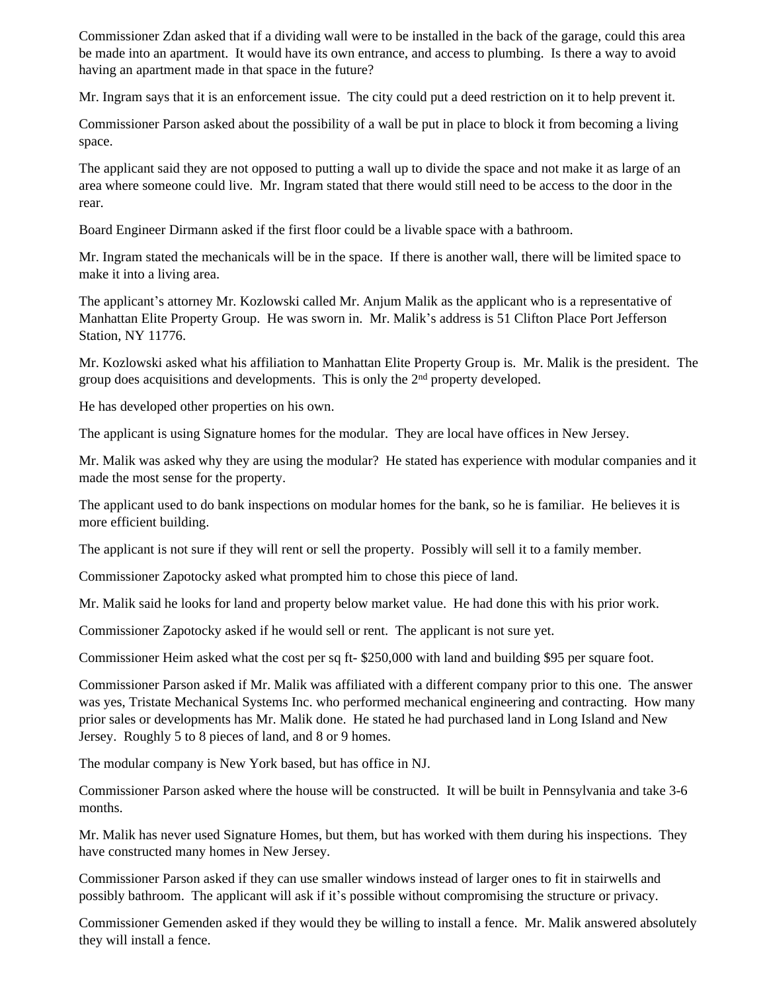Commissioner Zdan asked that if a dividing wall were to be installed in the back of the garage, could this area be made into an apartment. It would have its own entrance, and access to plumbing. Is there a way to avoid having an apartment made in that space in the future?

Mr. Ingram says that it is an enforcement issue. The city could put a deed restriction on it to help prevent it.

Commissioner Parson asked about the possibility of a wall be put in place to block it from becoming a living space.

The applicant said they are not opposed to putting a wall up to divide the space and not make it as large of an area where someone could live. Mr. Ingram stated that there would still need to be access to the door in the rear.

Board Engineer Dirmann asked if the first floor could be a livable space with a bathroom.

Mr. Ingram stated the mechanicals will be in the space. If there is another wall, there will be limited space to make it into a living area.

The applicant's attorney Mr. Kozlowski called Mr. Anjum Malik as the applicant who is a representative of Manhattan Elite Property Group. He was sworn in. Mr. Malik's address is 51 Clifton Place Port Jefferson Station, NY 11776.

Mr. Kozlowski asked what his affiliation to Manhattan Elite Property Group is. Mr. Malik is the president. The group does acquisitions and developments. This is only the  $2<sup>nd</sup>$  property developed.

He has developed other properties on his own.

The applicant is using Signature homes for the modular. They are local have offices in New Jersey.

Mr. Malik was asked why they are using the modular? He stated has experience with modular companies and it made the most sense for the property.

The applicant used to do bank inspections on modular homes for the bank, so he is familiar. He believes it is more efficient building.

The applicant is not sure if they will rent or sell the property. Possibly will sell it to a family member.

Commissioner Zapotocky asked what prompted him to chose this piece of land.

Mr. Malik said he looks for land and property below market value. He had done this with his prior work.

Commissioner Zapotocky asked if he would sell or rent. The applicant is not sure yet.

Commissioner Heim asked what the cost per sq ft- \$250,000 with land and building \$95 per square foot.

Commissioner Parson asked if Mr. Malik was affiliated with a different company prior to this one. The answer was yes, Tristate Mechanical Systems Inc. who performed mechanical engineering and contracting. How many prior sales or developments has Mr. Malik done. He stated he had purchased land in Long Island and New Jersey. Roughly 5 to 8 pieces of land, and 8 or 9 homes.

The modular company is New York based, but has office in NJ.

Commissioner Parson asked where the house will be constructed. It will be built in Pennsylvania and take 3-6 months.

Mr. Malik has never used Signature Homes, but them, but has worked with them during his inspections. They have constructed many homes in New Jersey.

Commissioner Parson asked if they can use smaller windows instead of larger ones to fit in stairwells and possibly bathroom. The applicant will ask if it's possible without compromising the structure or privacy.

Commissioner Gemenden asked if they would they be willing to install a fence. Mr. Malik answered absolutely they will install a fence.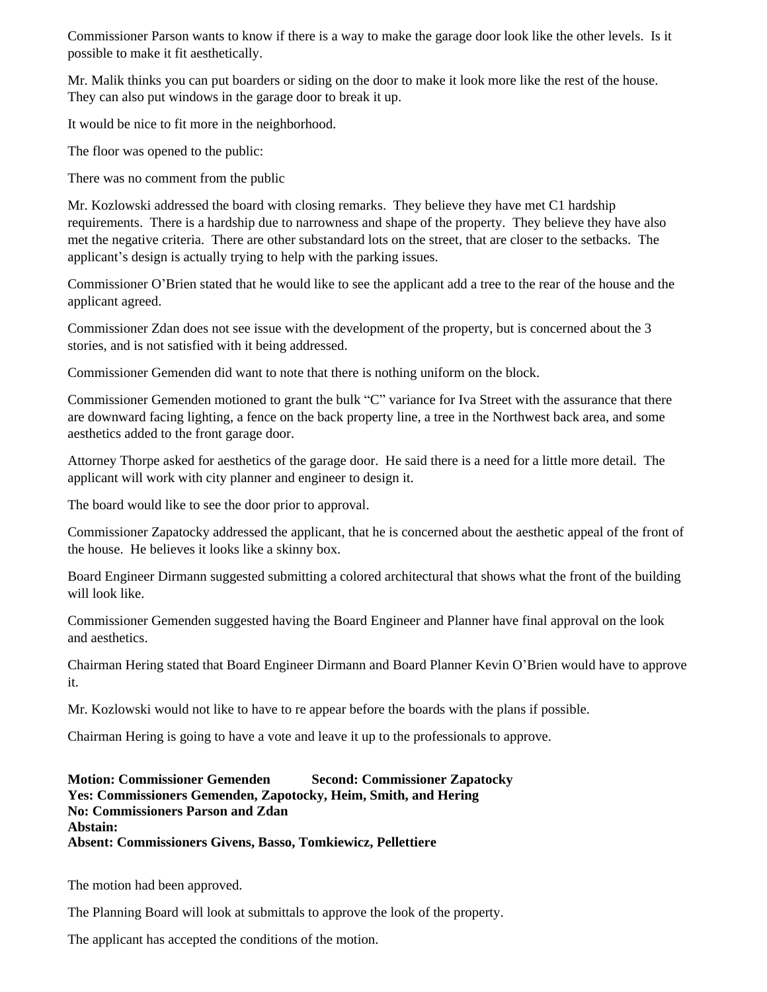Commissioner Parson wants to know if there is a way to make the garage door look like the other levels. Is it possible to make it fit aesthetically.

Mr. Malik thinks you can put boarders or siding on the door to make it look more like the rest of the house. They can also put windows in the garage door to break it up.

It would be nice to fit more in the neighborhood.

The floor was opened to the public:

There was no comment from the public

Mr. Kozlowski addressed the board with closing remarks. They believe they have met C1 hardship requirements. There is a hardship due to narrowness and shape of the property. They believe they have also met the negative criteria. There are other substandard lots on the street, that are closer to the setbacks. The applicant's design is actually trying to help with the parking issues.

Commissioner O'Brien stated that he would like to see the applicant add a tree to the rear of the house and the applicant agreed.

Commissioner Zdan does not see issue with the development of the property, but is concerned about the 3 stories, and is not satisfied with it being addressed.

Commissioner Gemenden did want to note that there is nothing uniform on the block.

Commissioner Gemenden motioned to grant the bulk "C" variance for Iva Street with the assurance that there are downward facing lighting, a fence on the back property line, a tree in the Northwest back area, and some aesthetics added to the front garage door.

Attorney Thorpe asked for aesthetics of the garage door. He said there is a need for a little more detail. The applicant will work with city planner and engineer to design it.

The board would like to see the door prior to approval.

Commissioner Zapatocky addressed the applicant, that he is concerned about the aesthetic appeal of the front of the house. He believes it looks like a skinny box.

Board Engineer Dirmann suggested submitting a colored architectural that shows what the front of the building will look like.

Commissioner Gemenden suggested having the Board Engineer and Planner have final approval on the look and aesthetics.

Chairman Hering stated that Board Engineer Dirmann and Board Planner Kevin O'Brien would have to approve it.

Mr. Kozlowski would not like to have to re appear before the boards with the plans if possible.

Chairman Hering is going to have a vote and leave it up to the professionals to approve.

**Motion: Commissioner Gemenden Second: Commissioner Zapatocky Yes: Commissioners Gemenden, Zapotocky, Heim, Smith, and Hering No: Commissioners Parson and Zdan Abstain: Absent: Commissioners Givens, Basso, Tomkiewicz, Pellettiere**

The motion had been approved.

The Planning Board will look at submittals to approve the look of the property.

The applicant has accepted the conditions of the motion.